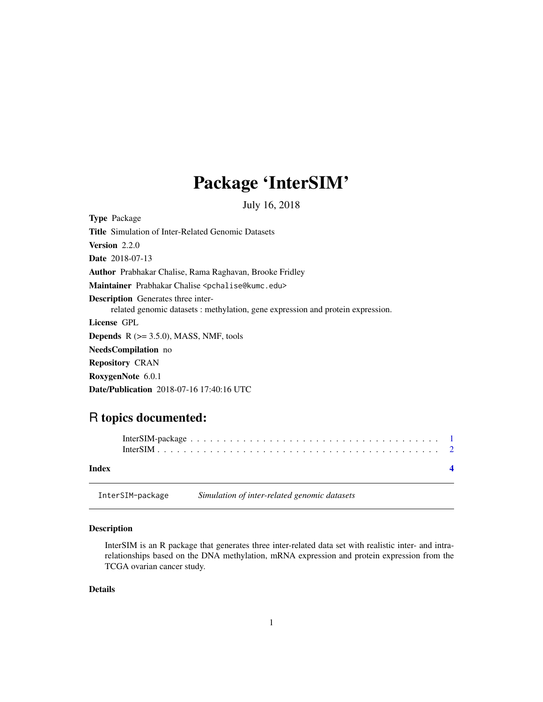## Package 'InterSIM'

July 16, 2018

<span id="page-0-0"></span>Type Package Title Simulation of Inter-Related Genomic Datasets Version 2.2.0 Date 2018-07-13 Author Prabhakar Chalise, Rama Raghavan, Brooke Fridley Maintainer Prabhakar Chalise <pchalise@kumc.edu> Description Generates three interrelated genomic datasets : methylation, gene expression and protein expression. License GPL **Depends**  $R$  ( $>= 3.5.0$ ), MASS, NMF, tools NeedsCompilation no Repository CRAN RoxygenNote 6.0.1 Date/Publication 2018-07-16 17:40:16 UTC

### R topics documented:

| Index |  |
|-------|--|

InterSIM-package *Simulation of inter-related genomic datasets*

#### Description

InterSIM is an R package that generates three inter-related data set with realistic inter- and intrarelationships based on the DNA methylation, mRNA expression and protein expression from the TCGA ovarian cancer study.

#### Details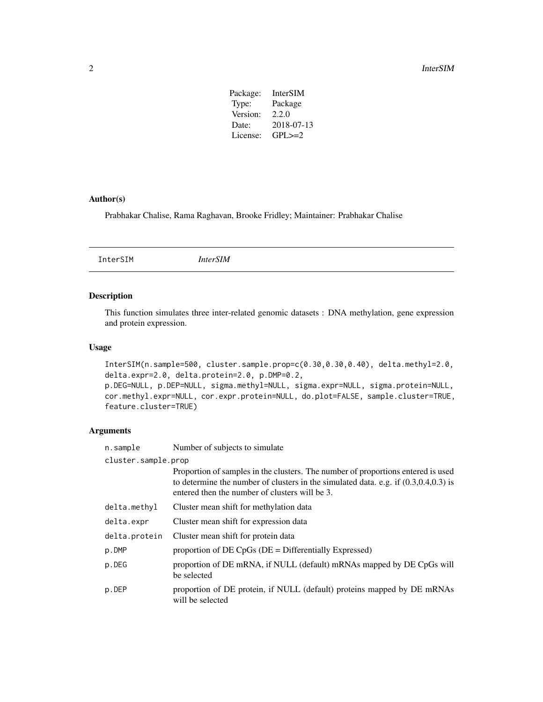#### <span id="page-1-0"></span>2 and 2 Intersection of the contract of the contract of the contract of the contract of the contract of the contract of the contract of the contract of the contract of the contract of the contract of the contract of the co

| Package: | InterSIM     |
|----------|--------------|
| Type:    | Package      |
| Version: | 2.2.0        |
| Date:    | 2018-07-13   |
| License: | $GPI \geq 2$ |
|          |              |

#### Author(s)

Prabhakar Chalise, Rama Raghavan, Brooke Fridley; Maintainer: Prabhakar Chalise

InterSIM *InterSIM*

#### Description

This function simulates three inter-related genomic datasets : DNA methylation, gene expression and protein expression.

#### Usage

InterSIM(n.sample=500, cluster.sample.prop=c(0.30,0.30,0.40), delta.methyl=2.0, delta.expr=2.0, delta.protein=2.0, p.DMP=0.2, p.DEG=NULL, p.DEP=NULL, sigma.methyl=NULL, sigma.expr=NULL, sigma.protein=NULL, cor.methyl.expr=NULL, cor.expr.protein=NULL, do.plot=FALSE, sample.cluster=TRUE, feature.cluster=TRUE)

#### Arguments

| n.sample            | Number of subjects to simulate                                                                                                                                                                                                |  |  |  |
|---------------------|-------------------------------------------------------------------------------------------------------------------------------------------------------------------------------------------------------------------------------|--|--|--|
| cluster.sample.prop |                                                                                                                                                                                                                               |  |  |  |
|                     | Proportion of samples in the clusters. The number of proportions entered is used<br>to determine the number of clusters in the simulated data. e.g. if $(0.3, 0.4, 0.3)$ is<br>entered then the number of clusters will be 3. |  |  |  |
| delta.methyl        | Cluster mean shift for methylation data                                                                                                                                                                                       |  |  |  |
| delta.expr          | Cluster mean shift for expression data                                                                                                                                                                                        |  |  |  |
| delta.protein       | Cluster mean shift for protein data                                                                                                                                                                                           |  |  |  |
| p.DMP               | proportion of $DE\ CpGs$ ( $DE = Differentially\ Expressed$ )                                                                                                                                                                 |  |  |  |
| p.DEG               | proportion of DE mRNA, if NULL (default) mRNAs mapped by DE CpGs will<br>be selected                                                                                                                                          |  |  |  |
| p.DEP               | proportion of DE protein, if NULL (default) proteins mapped by DE mRNAs<br>will be selected                                                                                                                                   |  |  |  |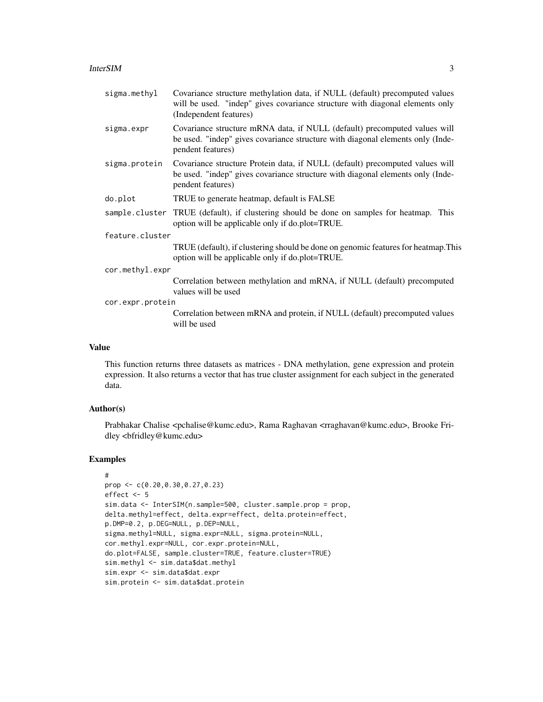#### **InterSIM** 3

| sigma.methyl     | Covariance structure methylation data, if NULL (default) precomputed values<br>will be used. "indep" gives covariance structure with diagonal elements only<br>(Independent features) |  |  |  |
|------------------|---------------------------------------------------------------------------------------------------------------------------------------------------------------------------------------|--|--|--|
| sigma.expr       | Covariance structure mRNA data, if NULL (default) precomputed values will<br>be used. "indep" gives covariance structure with diagonal elements only (Inde-<br>pendent features)      |  |  |  |
| sigma.protein    | Covariance structure Protein data, if NULL (default) precomputed values will<br>be used. "indep" gives covariance structure with diagonal elements only (Inde-<br>pendent features)   |  |  |  |
| do.plot          | TRUE to generate heatmap, default is FALSE                                                                                                                                            |  |  |  |
|                  | sample cluster TRUE (default), if clustering should be done on samples for heatmap. This<br>option will be applicable only if do.plot=TRUE.                                           |  |  |  |
| feature.cluster  |                                                                                                                                                                                       |  |  |  |
|                  | TRUE (default), if clustering should be done on genomic features for heatmap. This<br>option will be applicable only if do.plot=TRUE.                                                 |  |  |  |
| cor.methyl.expr  |                                                                                                                                                                                       |  |  |  |
|                  | Correlation between methylation and mRNA, if NULL (default) precomputed<br>values will be used                                                                                        |  |  |  |
| cor.expr.protein |                                                                                                                                                                                       |  |  |  |
|                  | Correlation between mRNA and protein, if NULL (default) precomputed values<br>will be used                                                                                            |  |  |  |
|                  |                                                                                                                                                                                       |  |  |  |

#### Value

This function returns three datasets as matrices - DNA methylation, gene expression and protein expression. It also returns a vector that has true cluster assignment for each subject in the generated data.

#### Author(s)

Prabhakar Chalise <pchalise@kumc.edu>, Rama Raghavan <rraghavan@kumc.edu>, Brooke Fridley <bfridley@kumc.edu>

#### Examples

```
#
prop <- c(0.20,0.30,0.27,0.23)
effect <- 5
sim.data <- InterSIM(n.sample=500, cluster.sample.prop = prop,
delta.methyl=effect, delta.expr=effect, delta.protein=effect,
p.DMP=0.2, p.DEG=NULL, p.DEP=NULL,
sigma.methyl=NULL, sigma.expr=NULL, sigma.protein=NULL,
cor.methyl.expr=NULL, cor.expr.protein=NULL,
do.plot=FALSE, sample.cluster=TRUE, feature.cluster=TRUE)
sim.methyl <- sim.data$dat.methyl
sim.expr <- sim.data$dat.expr
sim.protein <- sim.data$dat.protein
```